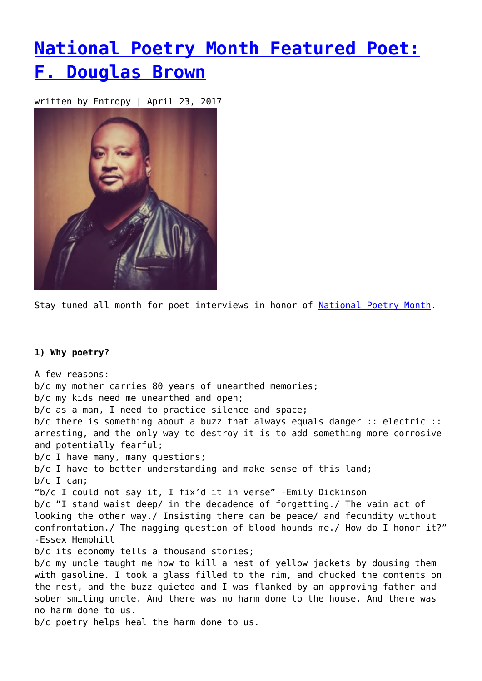# **[National Poetry Month Featured Poet:](https://entropymag.org/national-poetry-month-featured-poet-f-douglas-brown/) [F. Douglas Brown](https://entropymag.org/national-poetry-month-featured-poet-f-douglas-brown/)**

written by Entropy | April 23, 2017



Stay tuned all month for poet interviews in honor of [National Poetry Month.](https://entropymag.org/tag/national-poetry-month)

### **1) Why poetry?**

A few reasons: b/c my mother carries 80 years of unearthed memories; b/c my kids need me unearthed and open; b/c as a man, I need to practice silence and space; b/c there is something about a buzz that always equals danger :: electric :: arresting, and the only way to destroy it is to add something more corrosive and potentially fearful; b/c I have many, many questions; b/c I have to better understanding and make sense of this land; b/c I can; "b/c I could not say it, I fix'd it in verse" -Emily Dickinson b/c "I stand waist deep/ in the decadence of forgetting./ The vain act of looking the other way./ Insisting there can be peace/ and fecundity without confrontation./ The nagging question of blood hounds me./ How do I honor it?" -Essex Hemphill b/c its economy tells a thousand stories; b/c my uncle taught me how to kill a nest of yellow jackets by dousing them with gasoline. I took a glass filled to the rim, and chucked the contents on the nest, and the buzz quieted and I was flanked by an approving father and sober smiling uncle. And there was no harm done to the house. And there was no harm done to us. b/c poetry helps heal the harm done to us.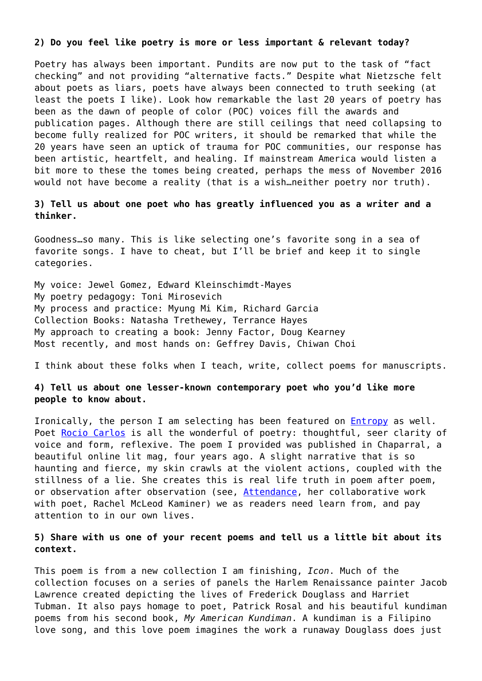#### **2) Do you feel like poetry is more or less important & relevant today?**

Poetry has always been important. Pundits are now put to the task of "fact checking" and not providing "alternative facts." Despite what Nietzsche felt about poets as liars, poets have always been connected to truth seeking (at least the poets I like). Look how remarkable the last 20 years of poetry has been as the dawn of people of color (POC) voices fill the awards and publication pages. Although there are still ceilings that need collapsing to become fully realized for POC writers, it should be remarked that while the 20 years have seen an uptick of trauma for POC communities, our response has been artistic, heartfelt, and healing. If mainstream America would listen a bit more to these the tomes being created, perhaps the mess of November 2016 would not have become a reality (that is a wish…neither poetry nor truth).

**3) Tell us about one poet who has greatly influenced you as a writer and a thinker.**

Goodness…so many. This is like selecting one's favorite song in a sea of favorite songs. I have to cheat, but I'll be brief and keep it to single categories.

My voice: Jewel Gomez, Edward Kleinschimdt-Mayes My poetry pedagogy: Toni Mirosevich My process and practice: Myung Mi Kim, Richard Garcia Collection Books: Natasha Trethewey, Terrance Hayes My approach to creating a book: Jenny Factor, Doug Kearney Most recently, and most hands on: Geffrey Davis, Chiwan Choi

I think about these folks when I teach, write, collect poems for manuscripts.

# **4) Tell us about one lesser-known contemporary poet who you'd like more people to know about.**

Ironically, the person I am selecting has been featured on **Entropy** as well. Poet [Rocio Carlos](http://www.chaparralpoetry.net/past-issues/a-maimed-sparrow/) is all the wonderful of poetry: thoughtful, seer clarity of voice and form, reflexive. The poem I provided was published in Chaparral, a beautiful online lit mag, four years ago. A slight narrative that is so haunting and fierce, my skin crawls at the violent actions, coupled with the stillness of a lie. She creates this is real life truth in poem after poem, or observation after observation (see, [Attendance,](https://www.culturalweekly.com/attendance-october/) her collaborative work with poet, Rachel McLeod Kaminer) we as readers need learn from, and pay attention to in our own lives.

# **5) Share with us one of your recent poems and tell us a little bit about its context.**

This poem is from a new collection I am finishing, *Icon*. Much of the collection focuses on a series of panels the Harlem Renaissance painter Jacob Lawrence created depicting the lives of Frederick Douglass and Harriet Tubman. It also pays homage to poet, Patrick Rosal and his beautiful kundiman poems from his second book, *My American Kundiman*. A kundiman is a Filipino love song, and this love poem imagines the work a runaway Douglass does just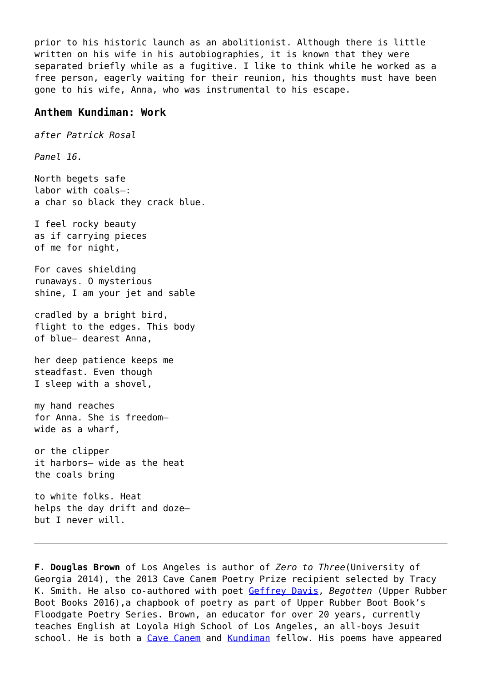prior to his historic launch as an abolitionist. Although there is little written on his wife in his autobiographies, it is known that they were separated briefly while as a fugitive. I like to think while he worked as a free person, eagerly waiting for their reunion, his thoughts must have been gone to his wife, Anna, who was instrumental to his escape.

### **Anthem Kundiman: Work**

*after Patrick Rosal*

*Panel 16.*

North begets safe labor with coals—: a char so black they crack blue.

I feel rocky beauty as if carrying pieces of me for night,

For caves shielding runaways. O mysterious shine, I am your jet and sable

cradled by a bright bird, flight to the edges. This body of blue— dearest Anna,

her deep patience keeps me steadfast. Even though I sleep with a shovel,

my hand reaches for Anna. She is freedom wide as a wharf,

or the clipper it harbors— wide as the heat the coals bring

to white folks. Heat helps the day drift and doze but I never will.

**F. Douglas Brown** of Los Angeles is author of *Zero to Three*(University of Georgia 2014), the 2013 Cave Canem Poetry Prize recipient selected by Tracy K. Smith. He also co-authored with poet [Geffrey Davis](http://www.geffreydavis.com/), *Begotten* (Upper Rubber Boot Books 2016),a chapbook of poetry as part of Upper Rubber Boot Book's Floodgate Poetry Series. Brown, an educator for over 20 years, currently teaches English at Loyola High School of Los Angeles, an all-boys Jesuit school. He is both a [Cave Canem](http://cavecanempoets.org/) and [Kundiman](http://kundiman.org/) fellow. His poems have appeared